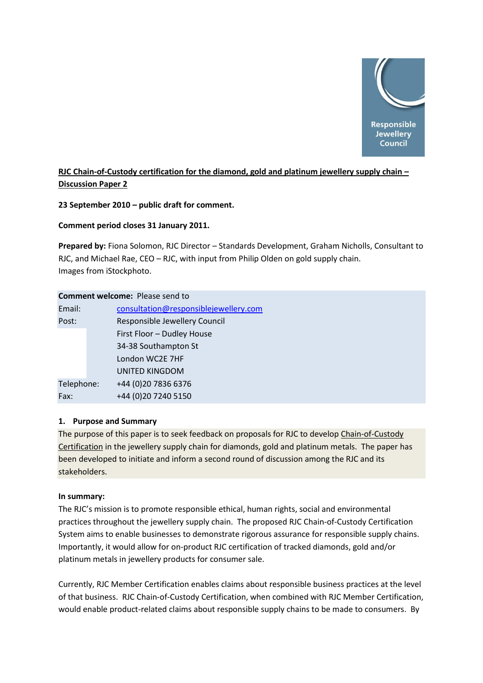

# **RJC Chain-of-Custody certification for the diamond, gold and platinum jewellery supply chain – Discussion Paper 2**

**23 September 2010 – public draft for comment.**

**Comment period closes 31 January 2011.**

**Prepared by:** Fiona Solomon, RJC Director – Standards Development, Graham Nicholls, Consultant to RJC, and Michael Rae, CEO – RJC, with input from Philip Olden on gold supply chain. Images from iStockphoto.

# **Comment welcome:** Please send to

|            | consultation@responsiblejewellery.com |
|------------|---------------------------------------|
|            | Responsible Jewellery Council         |
|            | First Floor - Dudley House            |
|            | 34-38 Southampton St                  |
|            | London WC2E 7HF                       |
|            | <b>UNITED KINGDOM</b>                 |
| Telephone: | +44 (0)20 7836 6376                   |
|            | +44 (0)20 7240 5150                   |
|            |                                       |

### **1. Purpose and Summary**

The purpose of this paper is to seek feedback on proposals for RJC to develop Chain-of-Custody Certification in the jewellery supply chain for diamonds, gold and platinum metals. The paper has been developed to initiate and inform a second round of discussion among the RJC and its stakeholders.

### **In summary:**

The RJC's mission is to promote responsible ethical, human rights, social and environmental practices throughout the jewellery supply chain. The proposed RJC Chain-of-Custody Certification System aims to enable businesses to demonstrate rigorous assurance for responsible supply chains. Importantly, it would allow for on-product RJC certification of tracked diamonds, gold and/or platinum metals in jewellery products for consumer sale.

Currently, RJC Member Certification enables claims about responsible business practices at the level of that business. RJC Chain-of-Custody Certification, when combined with RJC Member Certification, would enable product-related claims about responsible supply chains to be made to consumers. By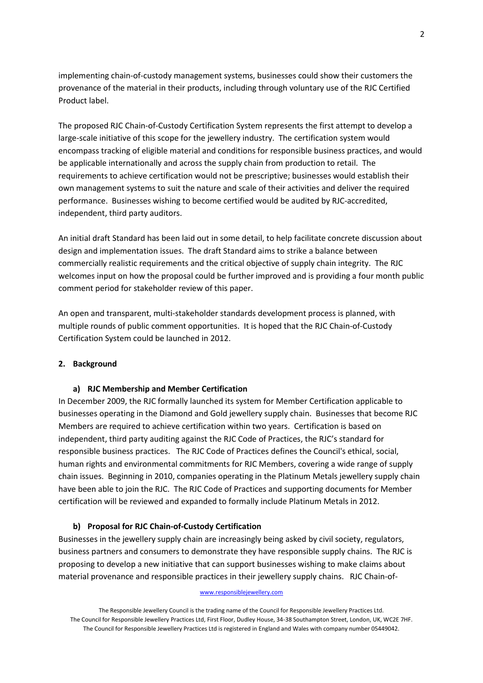implementing chain-of-custody management systems, businesses could show their customers the provenance of the material in their products, including through voluntary use of the RJC Certified Product label.

The proposed RJC Chain-of-Custody Certification System represents the first attempt to develop a large-scale initiative of this scope for the jewellery industry. The certification system would encompass tracking of eligible material and conditions for responsible business practices, and would be applicable internationally and across the supply chain from production to retail. The requirements to achieve certification would not be prescriptive; businesses would establish their own management systems to suit the nature and scale of their activities and deliver the required performance. Businesses wishing to become certified would be audited by RJC-accredited, independent, third party auditors.

An initial draft Standard has been laid out in some detail, to help facilitate concrete discussion about design and implementation issues. The draft Standard aims to strike a balance between commercially realistic requirements and the critical objective of supply chain integrity. The RJC welcomes input on how the proposal could be further improved and is providing a four month public comment period for stakeholder review of this paper.

An open and transparent, multi-stakeholder standards development process is planned, with multiple rounds of public comment opportunities. It is hoped that the RJC Chain-of-Custody Certification System could be launched in 2012.

### **2. Background**

### **a) RJC Membership and Member Certification**

In December 2009, the RJC formally launched its system for Member Certification applicable to businesses operating in the Diamond and Gold jewellery supply chain. Businesses that become RJC Members are required to achieve certification within two years. Certification is based on independent, third party auditing against the RJC Code of Practices, the RJC's standard for responsible business practices. The RJC Code of Practices defines the Council's ethical, social, human rights and environmental commitments for RJC Members, covering a wide range of supply chain issues. Beginning in 2010, companies operating in the Platinum Metals jewellery supply chain have been able to join the RJC. The RJC Code of Practices and supporting documents for Member certification will be reviewed and expanded to formally include Platinum Metals in 2012.

### **b) Proposal for RJC Chain-of-Custody Certification**

Businesses in the jewellery supply chain are increasingly being asked by civil society, regulators, business partners and consumers to demonstrate they have responsible supply chains. The RJC is proposing to develop a new initiative that can support businesses wishing to make claims about material provenance and responsible practices in their jewellery supply chains. RJC Chain-of-

### www.responsiblejewellery.com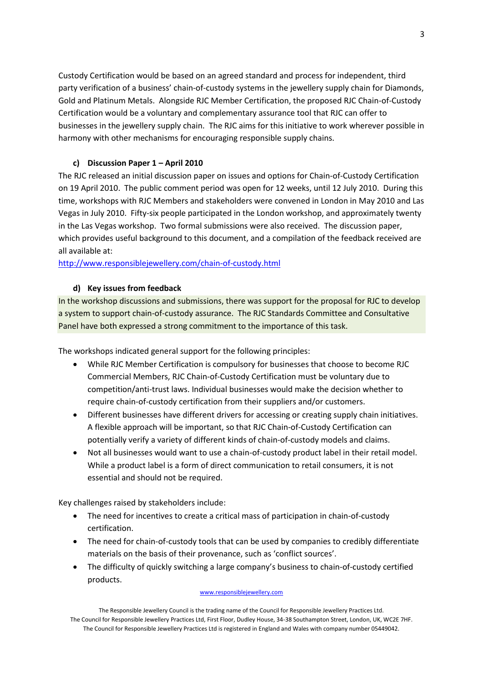Custody Certification would be based on an agreed standard and process for independent, third party verification of a business' chain-of-custody systems in the jewellery supply chain for Diamonds, Gold and Platinum Metals. Alongside RJC Member Certification, the proposed RJC Chain-of-Custody Certification would be a voluntary and complementary assurance tool that RJC can offer to businesses in the jewellery supply chain. The RJC aims for this initiative to work wherever possible in harmony with other mechanisms for encouraging responsible supply chains.

# **c) Discussion Paper 1 – April 2010**

The RJC released an initial discussion paper on issues and options for Chain-of-Custody Certification on 19 April 2010. The public comment period was open for 12 weeks, until 12 July 2010. During this time, workshops with RJC Members and stakeholders were convened in London in May 2010 and Las Vegas in July 2010. Fifty-six people participated in the London workshop, and approximately twenty in the Las Vegas workshop. Two formal submissions were also received. The discussion paper, which provides useful background to this document, and a compilation of the feedback received are all available at:

### <http://www.responsiblejewellery.com/chain-of-custody.html>

# **d) Key issues from feedback**

In the workshop discussions and submissions, there was support for the proposal for RJC to develop a system to support chain-of-custody assurance. The RJC Standards Committee and Consultative Panel have both expressed a strong commitment to the importance of this task.

The workshops indicated general support for the following principles:

- While RJC Member Certification is compulsory for businesses that choose to become RJC Commercial Members, RJC Chain-of-Custody Certification must be voluntary due to competition/anti-trust laws. Individual businesses would make the decision whether to require chain-of-custody certification from their suppliers and/or customers.
- Different businesses have different drivers for accessing or creating supply chain initiatives. A flexible approach will be important, so that RJC Chain-of-Custody Certification can potentially verify a variety of different kinds of chain-of-custody models and claims.
- Not all businesses would want to use a chain-of-custody product label in their retail model. While a product label is a form of direct communication to retail consumers, it is not essential and should not be required.

Key challenges raised by stakeholders include:

- The need for incentives to create a critical mass of participation in chain-of-custody certification.
- The need for chain-of-custody tools that can be used by companies to credibly differentiate materials on the basis of their provenance, such as 'conflict sources'.
- The difficulty of quickly switching a large company's business to chain-of-custody certified products.

### www.responsiblejewellery.com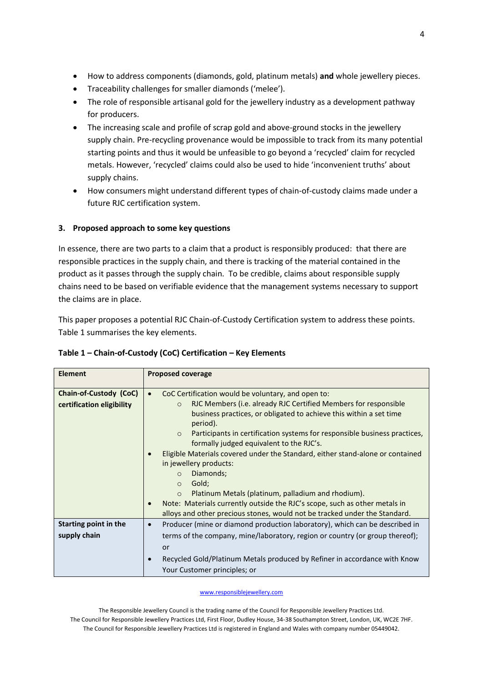- How to address components (diamonds, gold, platinum metals) **and** whole jewellery pieces.
- Traceability challenges for smaller diamonds ('melee').
- The role of responsible artisanal gold for the jewellery industry as a development pathway for producers.
- The increasing scale and profile of scrap gold and above-ground stocks in the jewellery supply chain. Pre-recycling provenance would be impossible to track from its many potential starting points and thus it would be unfeasible to go beyond a 'recycled' claim for recycled metals. However, 'recycled' claims could also be used to hide 'inconvenient truths' about supply chains.
- How consumers might understand different types of chain-of-custody claims made under a future RJC certification system.

# **3. Proposed approach to some key questions**

In essence, there are two parts to a claim that a product is responsibly produced: that there are responsible practices in the supply chain, and there is tracking of the material contained in the product as it passes through the supply chain. To be credible, claims about responsible supply chains need to be based on verifiable evidence that the management systems necessary to support the claims are in place.

This paper proposes a potential RJC Chain-of-Custody Certification system to address these points. Table 1 summarises the key elements.

| <b>Element</b>                                      | <b>Proposed coverage</b>                                                                                                                                                                                                                                                                                                                                                                                                                                                                                                                                                                                                                                                                                                                                              |
|-----------------------------------------------------|-----------------------------------------------------------------------------------------------------------------------------------------------------------------------------------------------------------------------------------------------------------------------------------------------------------------------------------------------------------------------------------------------------------------------------------------------------------------------------------------------------------------------------------------------------------------------------------------------------------------------------------------------------------------------------------------------------------------------------------------------------------------------|
| Chain-of-Custody (CoC)<br>certification eligibility | CoC Certification would be voluntary, and open to:<br>$\bullet$<br>RJC Members (i.e. already RJC Certified Members for responsible<br>$\circ$<br>business practices, or obligated to achieve this within a set time<br>period).<br>Participants in certification systems for responsible business practices,<br>$\circ$<br>formally judged equivalent to the RJC's.<br>Eligible Materials covered under the Standard, either stand-alone or contained<br>in jewellery products:<br>Diamonds;<br>$\circ$<br>Gold;<br>$\circ$<br>Platinum Metals (platinum, palladium and rhodium).<br>$\circ$<br>Note: Materials currently outside the RJC's scope, such as other metals in<br>$\bullet$<br>alloys and other precious stones, would not be tracked under the Standard. |
| Starting point in the<br>supply chain               | Producer (mine or diamond production laboratory), which can be described in<br>$\bullet$<br>terms of the company, mine/laboratory, region or country (or group thereof);<br>or<br>Recycled Gold/Platinum Metals produced by Refiner in accordance with Know<br>Your Customer principles; or                                                                                                                                                                                                                                                                                                                                                                                                                                                                           |

# **Table 1 – Chain-of-Custody (CoC) Certification – Key Elements**

www.responsiblejewellery.com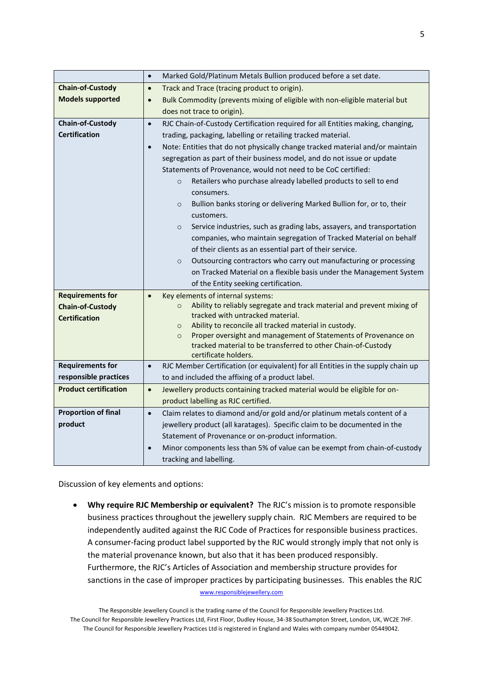|                              | $\bullet$ | Marked Gold/Platinum Metals Bullion produced before a set date.                                                                               |  |  |  |
|------------------------------|-----------|-----------------------------------------------------------------------------------------------------------------------------------------------|--|--|--|
| <b>Chain-of-Custody</b>      | $\bullet$ | Track and Trace (tracing product to origin).                                                                                                  |  |  |  |
| <b>Models supported</b>      | $\bullet$ | Bulk Commodity (prevents mixing of eligible with non-eligible material but                                                                    |  |  |  |
|                              |           | does not trace to origin).                                                                                                                    |  |  |  |
| <b>Chain-of-Custody</b>      | $\bullet$ | RJC Chain-of-Custody Certification required for all Entities making, changing,                                                                |  |  |  |
| <b>Certification</b>         |           | trading, packaging, labelling or retailing tracked material.                                                                                  |  |  |  |
|                              | $\bullet$ | Note: Entities that do not physically change tracked material and/or maintain                                                                 |  |  |  |
|                              |           | segregation as part of their business model, and do not issue or update                                                                       |  |  |  |
|                              |           | Statements of Provenance, would not need to be CoC certified:                                                                                 |  |  |  |
|                              |           | Retailers who purchase already labelled products to sell to end<br>$\circ$                                                                    |  |  |  |
|                              |           | consumers.                                                                                                                                    |  |  |  |
|                              |           | Bullion banks storing or delivering Marked Bullion for, or to, their<br>$\circ$                                                               |  |  |  |
|                              |           | customers.                                                                                                                                    |  |  |  |
|                              |           | Service industries, such as grading labs, assayers, and transportation<br>$\circ$                                                             |  |  |  |
|                              |           | companies, who maintain segregation of Tracked Material on behalf                                                                             |  |  |  |
|                              |           | of their clients as an essential part of their service.                                                                                       |  |  |  |
|                              |           | Outsourcing contractors who carry out manufacturing or processing<br>$\circ$                                                                  |  |  |  |
|                              |           | on Tracked Material on a flexible basis under the Management System                                                                           |  |  |  |
|                              |           | of the Entity seeking certification.                                                                                                          |  |  |  |
| <b>Requirements for</b>      | $\bullet$ | Key elements of internal systems:                                                                                                             |  |  |  |
| <b>Chain-of-Custody</b>      |           | Ability to reliably segregate and track material and prevent mixing of<br>$\circ$                                                             |  |  |  |
| <b>Certification</b>         |           | tracked with untracked material.                                                                                                              |  |  |  |
|                              |           | Ability to reconcile all tracked material in custody.<br>$\circ$<br>Proper oversight and management of Statements of Provenance on<br>$\circ$ |  |  |  |
|                              |           | tracked material to be transferred to other Chain-of-Custody                                                                                  |  |  |  |
|                              |           | certificate holders.                                                                                                                          |  |  |  |
| <b>Requirements for</b>      | $\bullet$ | RJC Member Certification (or equivalent) for all Entities in the supply chain up                                                              |  |  |  |
| responsible practices        |           | to and included the affixing of a product label.                                                                                              |  |  |  |
| <b>Product certification</b> | $\bullet$ | Jewellery products containing tracked material would be eligible for on-                                                                      |  |  |  |
|                              |           | product labelling as RJC certified.                                                                                                           |  |  |  |
| <b>Proportion of final</b>   | $\bullet$ | Claim relates to diamond and/or gold and/or platinum metals content of a                                                                      |  |  |  |
| product                      |           | jewellery product (all karatages). Specific claim to be documented in the                                                                     |  |  |  |
|                              |           | Statement of Provenance or on-product information.                                                                                            |  |  |  |
|                              | $\bullet$ | Minor components less than 5% of value can be exempt from chain-of-custody                                                                    |  |  |  |
|                              |           | tracking and labelling.                                                                                                                       |  |  |  |

Discussion of key elements and options:

www.responsiblejewellery.com **Why require RJC Membership or equivalent?** The RJC's mission is to promote responsible business practices throughout the jewellery supply chain. RJC Members are required to be independently audited against the RJC Code of Practices for responsible business practices. A consumer-facing product label supported by the RJC would strongly imply that not only is the material provenance known, but also that it has been produced responsibly. Furthermore, the RJC's Articles of Association and membership structure provides for sanctions in the case of improper practices by participating businesses. This enables the RJC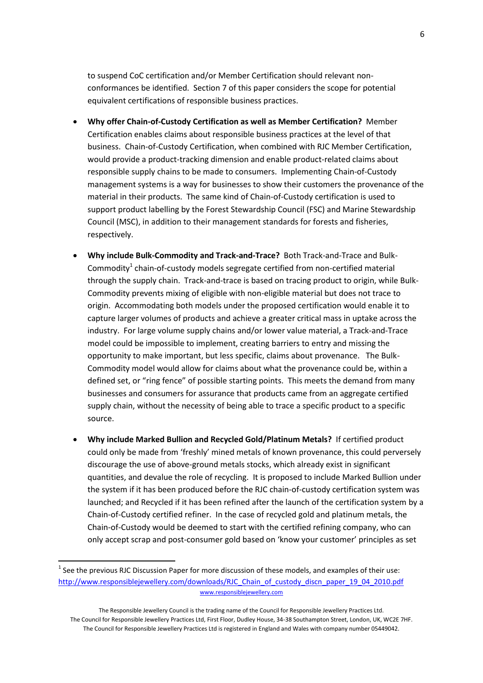to suspend CoC certification and/or Member Certification should relevant nonconformances be identified. Section 7 of this paper considers the scope for potential equivalent certifications of responsible business practices.

- **Why offer Chain-of-Custody Certification as well as Member Certification?** Member Certification enables claims about responsible business practices at the level of that business. Chain-of-Custody Certification, when combined with RJC Member Certification, would provide a product-tracking dimension and enable product-related claims about responsible supply chains to be made to consumers. Implementing Chain-of-Custody management systems is a way for businesses to show their customers the provenance of the material in their products. The same kind of Chain-of-Custody certification is used to support product labelling by the Forest Stewardship Council (FSC) and Marine Stewardship Council (MSC), in addition to their management standards for forests and fisheries, respectively.
- **Why include Bulk-Commodity and Track-and-Trace?** Both Track-and-Trace and Bulk-Commodity<sup>1</sup> chain-of-custody models segregate certified from non-certified material through the supply chain. Track-and-trace is based on tracing product to origin, while Bulk-Commodity prevents mixing of eligible with non-eligible material but does not trace to origin. Accommodating both models under the proposed certification would enable it to capture larger volumes of products and achieve a greater critical mass in uptake across the industry. For large volume supply chains and/or lower value material, a Track-and-Trace model could be impossible to implement, creating barriers to entry and missing the opportunity to make important, but less specific, claims about provenance. The Bulk-Commodity model would allow for claims about what the provenance could be, within a defined set, or "ring fence" of possible starting points. This meets the demand from many businesses and consumers for assurance that products came from an aggregate certified supply chain, without the necessity of being able to trace a specific product to a specific source.
- **Why include Marked Bullion and Recycled Gold/Platinum Metals?** If certified product could only be made from 'freshly' mined metals of known provenance, this could perversely discourage the use of above-ground metals stocks, which already exist in significant quantities, and devalue the role of recycling. It is proposed to include Marked Bullion under the system if it has been produced before the RJC chain-of-custody certification system was launched; and Recycled if it has been refined after the launch of the certification system by a Chain-of-Custody certified refiner. In the case of recycled gold and platinum metals, the Chain-of-Custody would be deemed to start with the certified refining company, who can only accept scrap and post-consumer gold based on 'know your customer' principles as set

 $\overline{\phantom{a}}$ 

www.responsiblejewellery.com  $<sup>1</sup>$  See the previous RJC Discussion Paper for more discussion of these models, and examples of their use:</sup> [http://www.responsiblejewellery.com/downloads/RJC\\_Chain\\_of\\_custody\\_discn\\_paper\\_19\\_04\\_2010.pdf](http://www.responsiblejewellery.com/downloads/RJC_Chain_of_custody_discn_paper_19_04_2010.pdf)

The Responsible Jewellery Council is the trading name of the Council for Responsible Jewellery Practices Ltd. The Council for Responsible Jewellery Practices Ltd, First Floor, Dudley House, 34-38 Southampton Street, London, UK, WC2E 7HF. The Council for Responsible Jewellery Practices Ltd is registered in England and Wales with company number 05449042.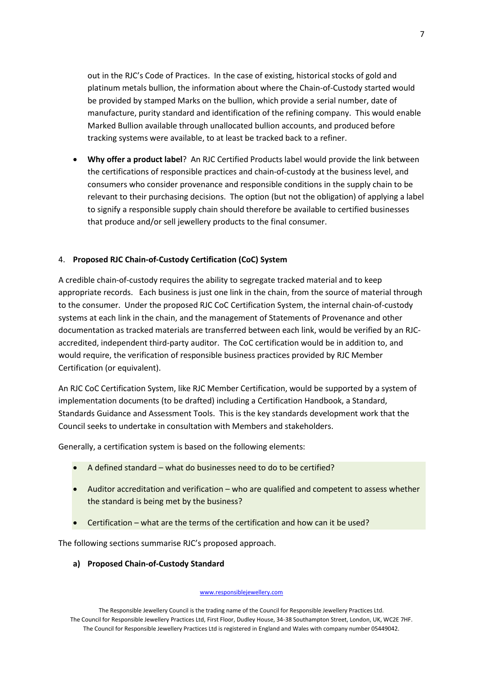out in the RJC's Code of Practices. In the case of existing, historical stocks of gold and platinum metals bullion, the information about where the Chain-of-Custody started would be provided by stamped Marks on the bullion, which provide a serial number, date of manufacture, purity standard and identification of the refining company. This would enable Marked Bullion available through unallocated bullion accounts, and produced before tracking systems were available, to at least be tracked back to a refiner.

 **Why offer a product label**? An RJC Certified Products label would provide the link between the certifications of responsible practices and chain-of-custody at the business level, and consumers who consider provenance and responsible conditions in the supply chain to be relevant to their purchasing decisions. The option (but not the obligation) of applying a label to signify a responsible supply chain should therefore be available to certified businesses that produce and/or sell jewellery products to the final consumer.

### 4. **Proposed RJC Chain-of-Custody Certification (CoC) System**

A credible chain-of-custody requires the ability to segregate tracked material and to keep appropriate records. Each business is just one link in the chain, from the source of material through to the consumer. Under the proposed RJC CoC Certification System, the internal chain-of-custody systems at each link in the chain, and the management of Statements of Provenance and other documentation as tracked materials are transferred between each link, would be verified by an RJCaccredited, independent third-party auditor. The CoC certification would be in addition to, and would require, the verification of responsible business practices provided by RJC Member Certification (or equivalent).

An RJC CoC Certification System, like RJC Member Certification, would be supported by a system of implementation documents (to be drafted) including a Certification Handbook, a Standard, Standards Guidance and Assessment Tools. This is the key standards development work that the Council seeks to undertake in consultation with Members and stakeholders.

Generally, a certification system is based on the following elements:

- $\bullet$  A defined standard what do businesses need to do to be certified?
- Auditor accreditation and verification who are qualified and competent to assess whether the standard is being met by the business?
- Certification what are the terms of the certification and how can it be used?

The following sections summarise RJC's proposed approach.

**a) Proposed Chain-of-Custody Standard** 

#### www.responsiblejewellery.com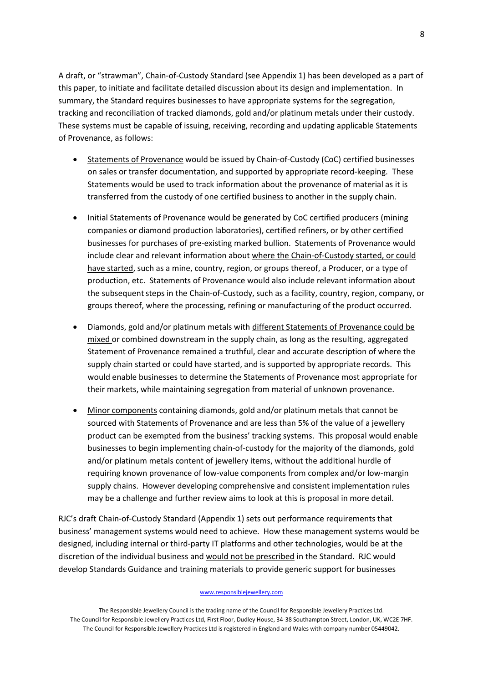A draft, or "strawman", Chain-of-Custody Standard (see Appendix 1) has been developed as a part of this paper, to initiate and facilitate detailed discussion about its design and implementation. In summary, the Standard requires businesses to have appropriate systems for the segregation, tracking and reconciliation of tracked diamonds, gold and/or platinum metals under their custody. These systems must be capable of issuing, receiving, recording and updating applicable Statements of Provenance, as follows:

- Statements of Provenance would be issued by Chain-of-Custody (CoC) certified businesses on sales or transfer documentation, and supported by appropriate record-keeping. These Statements would be used to track information about the provenance of material as it is transferred from the custody of one certified business to another in the supply chain.
- Initial Statements of Provenance would be generated by CoC certified producers (mining companies or diamond production laboratories), certified refiners, or by other certified businesses for purchases of pre-existing marked bullion. Statements of Provenance would include clear and relevant information about where the Chain-of-Custody started, or could have started, such as a mine, country, region, or groups thereof, a Producer, or a type of production, etc. Statements of Provenance would also include relevant information about the subsequent steps in the Chain-of-Custody, such as a facility, country, region, company, or groups thereof, where the processing, refining or manufacturing of the product occurred.
- Diamonds, gold and/or platinum metals with different Statements of Provenance could be mixed or combined downstream in the supply chain, as long as the resulting, aggregated Statement of Provenance remained a truthful, clear and accurate description of where the supply chain started or could have started, and is supported by appropriate records. This would enable businesses to determine the Statements of Provenance most appropriate for their markets, while maintaining segregation from material of unknown provenance.
- Minor components containing diamonds, gold and/or platinum metals that cannot be sourced with Statements of Provenance and are less than 5% of the value of a jewellery product can be exempted from the business' tracking systems. This proposal would enable businesses to begin implementing chain-of-custody for the majority of the diamonds, gold and/or platinum metals content of jewellery items, without the additional hurdle of requiring known provenance of low-value components from complex and/or low-margin supply chains. However developing comprehensive and consistent implementation rules may be a challenge and further review aims to look at this is proposal in more detail.

RJC's draft Chain-of-Custody Standard (Appendix 1) sets out performance requirements that business' management systems would need to achieve. How these management systems would be designed, including internal or third-party IT platforms and other technologies, would be at the discretion of the individual business and would not be prescribed in the Standard. RJC would develop Standards Guidance and training materials to provide generic support for businesses

#### www.responsiblejewellery.com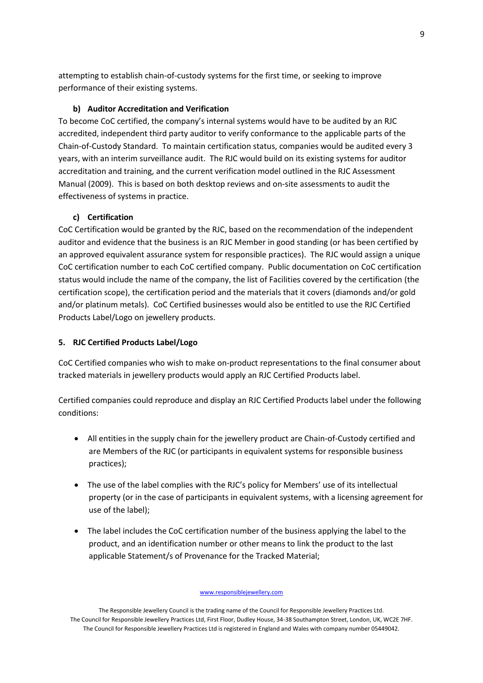attempting to establish chain-of-custody systems for the first time, or seeking to improve performance of their existing systems.

### **b) Auditor Accreditation and Verification**

To become CoC certified, the company's internal systems would have to be audited by an RJC accredited, independent third party auditor to verify conformance to the applicable parts of the Chain-of-Custody Standard. To maintain certification status, companies would be audited every 3 years, with an interim surveillance audit. The RJC would build on its existing systems for auditor accreditation and training, and the current verification model outlined in the RJC Assessment Manual (2009). This is based on both desktop reviews and on-site assessments to audit the effectiveness of systems in practice.

# **c) Certification**

CoC Certification would be granted by the RJC, based on the recommendation of the independent auditor and evidence that the business is an RJC Member in good standing (or has been certified by an approved equivalent assurance system for responsible practices). The RJC would assign a unique CoC certification number to each CoC certified company. Public documentation on CoC certification status would include the name of the company, the list of Facilities covered by the certification (the certification scope), the certification period and the materials that it covers (diamonds and/or gold and/or platinum metals). CoC Certified businesses would also be entitled to use the RJC Certified Products Label/Logo on jewellery products.

## **5. RJC Certified Products Label/Logo**

CoC Certified companies who wish to make on-product representations to the final consumer about tracked materials in jewellery products would apply an RJC Certified Products label.

Certified companies could reproduce and display an RJC Certified Products label under the following conditions:

- All entities in the supply chain for the jewellery product are Chain-of-Custody certified and are Members of the RJC (or participants in equivalent systems for responsible business practices);
- The use of the label complies with the RJC's policy for Members' use of its intellectual property (or in the case of participants in equivalent systems, with a licensing agreement for use of the label);
- The label includes the CoC certification number of the business applying the label to the product, and an identification number or other means to link the product to the last applicable Statement/s of Provenance for the Tracked Material;

www.responsiblejewellery.com

The Responsible Jewellery Council is the trading name of the Council for Responsible Jewellery Practices Ltd. The Council for Responsible Jewellery Practices Ltd, First Floor, Dudley House, 34-38 Southampton Street, London, UK, WC2E 7HF. The Council for Responsible Jewellery Practices Ltd is registered in England and Wales with company number 05449042.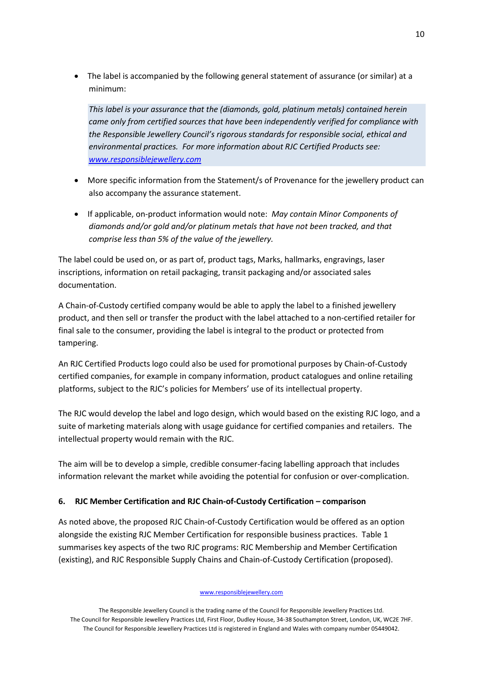The label is accompanied by the following general statement of assurance (or similar) at a minimum:

*This label is your assurance that the (diamonds, gold, platinum metals) contained herein came only from certified sources that have been independently verified for compliance with the Responsible Jewellery Council's rigorous standards for responsible social, ethical and environmental practices. For more information about RJC Certified Products see: [www.responsiblejewellery.com](http://www.responsiblejewellery.com/)*

- More specific information from the Statement/s of Provenance for the jewellery product can also accompany the assurance statement.
- If applicable, on-product information would note: *May contain Minor Components of diamonds and/or gold and/or platinum metals that have not been tracked, and that comprise less than 5% of the value of the jewellery.*

The label could be used on, or as part of, product tags, Marks, hallmarks, engravings, laser inscriptions, information on retail packaging, transit packaging and/or associated sales documentation.

A Chain-of-Custody certified company would be able to apply the label to a finished jewellery product, and then sell or transfer the product with the label attached to a non-certified retailer for final sale to the consumer, providing the label is integral to the product or protected from tampering.

An RJC Certified Products logo could also be used for promotional purposes by Chain-of-Custody certified companies, for example in company information, product catalogues and online retailing platforms, subject to the RJC's policies for Members' use of its intellectual property.

The RJC would develop the label and logo design, which would based on the existing RJC logo, and a suite of marketing materials along with usage guidance for certified companies and retailers. The intellectual property would remain with the RJC.

The aim will be to develop a simple, credible consumer-facing labelling approach that includes information relevant the market while avoiding the potential for confusion or over-complication.

# **6. RJC Member Certification and RJC Chain-of-Custody Certification – comparison**

As noted above, the proposed RJC Chain-of-Custody Certification would be offered as an option alongside the existing RJC Member Certification for responsible business practices. Table 1 summarises key aspects of the two RJC programs: RJC Membership and Member Certification (existing), and RJC Responsible Supply Chains and Chain-of-Custody Certification (proposed).

#### www.responsiblejewellery.com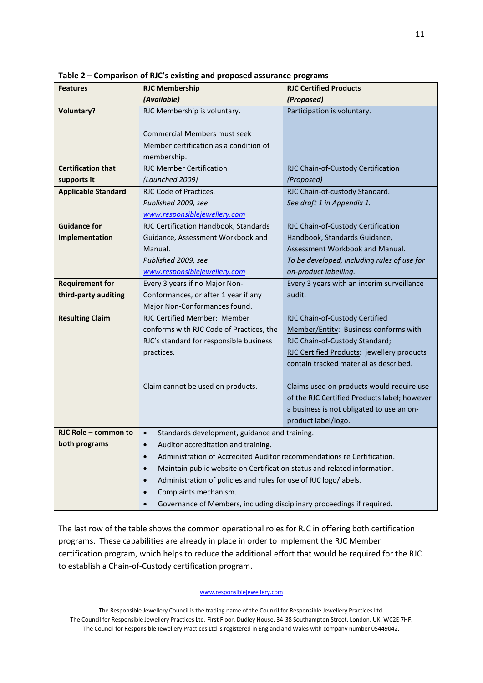| <b>Features</b>            | <b>RJC Membership</b>                                                                     | <b>RJC Certified Products</b>                |  |  |  |
|----------------------------|-------------------------------------------------------------------------------------------|----------------------------------------------|--|--|--|
|                            | (Available)                                                                               | (Proposed)                                   |  |  |  |
| <b>Voluntary?</b>          | RJC Membership is voluntary.                                                              | Participation is voluntary.                  |  |  |  |
|                            |                                                                                           |                                              |  |  |  |
|                            | <b>Commercial Members must seek</b>                                                       |                                              |  |  |  |
|                            | Member certification as a condition of                                                    |                                              |  |  |  |
|                            | membership.                                                                               |                                              |  |  |  |
| <b>Certification that</b>  | <b>RJC Member Certification</b>                                                           | RJC Chain-of-Custody Certification           |  |  |  |
| supports it                | (Launched 2009)                                                                           | (Proposed)                                   |  |  |  |
| <b>Applicable Standard</b> | RJC Code of Practices.                                                                    | RJC Chain-of-custody Standard.               |  |  |  |
|                            | Published 2009, see                                                                       | See draft 1 in Appendix 1.                   |  |  |  |
|                            | www.responsiblejewellery.com                                                              |                                              |  |  |  |
| <b>Guidance for</b>        | RJC Certification Handbook, Standards                                                     | RJC Chain-of-Custody Certification           |  |  |  |
| Implementation             | Guidance, Assessment Workbook and                                                         | Handbook, Standards Guidance,                |  |  |  |
|                            | Manual.                                                                                   | Assessment Workbook and Manual.              |  |  |  |
|                            | Published 2009, see                                                                       | To be developed, including rules of use for  |  |  |  |
|                            | www.responsiblejewellery.com                                                              | on-product labelling.                        |  |  |  |
| <b>Requirement for</b>     | Every 3 years if no Major Non-                                                            | Every 3 years with an interim surveillance   |  |  |  |
| third-party auditing       | Conformances, or after 1 year if any                                                      | audit.                                       |  |  |  |
|                            | Major Non-Conformances found.                                                             |                                              |  |  |  |
| <b>Resulting Claim</b>     | RJC Certified Member: Member                                                              | RJC Chain-of-Custody Certified               |  |  |  |
|                            | conforms with RJC Code of Practices, the                                                  | Member/Entity: Business conforms with        |  |  |  |
|                            | RJC's standard for responsible business                                                   | RJC Chain-of-Custody Standard;               |  |  |  |
|                            | practices.                                                                                | RJC Certified Products: jewellery products   |  |  |  |
|                            |                                                                                           | contain tracked material as described.       |  |  |  |
|                            | Claim cannot be used on products.                                                         | Claims used on products would require use    |  |  |  |
|                            |                                                                                           | of the RJC Certified Products label; however |  |  |  |
|                            |                                                                                           | a business is not obligated to use an on-    |  |  |  |
|                            |                                                                                           | product label/logo.                          |  |  |  |
| RJC Role - common to       | Standards development, guidance and training.                                             |                                              |  |  |  |
| both programs              | Auditor accreditation and training.                                                       |                                              |  |  |  |
|                            | Administration of Accredited Auditor recommendations re Certification.                    |                                              |  |  |  |
|                            | Maintain public website on Certification status and related information.                  |                                              |  |  |  |
|                            |                                                                                           |                                              |  |  |  |
|                            | Administration of policies and rules for use of RJC logo/labels.<br>Complaints mechanism. |                                              |  |  |  |
|                            |                                                                                           |                                              |  |  |  |
|                            | Governance of Members, including disciplinary proceedings if required.                    |                                              |  |  |  |

**Table 2 – Comparison of RJC's existing and proposed assurance programs**

The last row of the table shows the common operational roles for RJC in offering both certification programs. These capabilities are already in place in order to implement the RJC Member certification program, which helps to reduce the additional effort that would be required for the RJC to establish a Chain-of-Custody certification program.

www.responsiblejewellery.com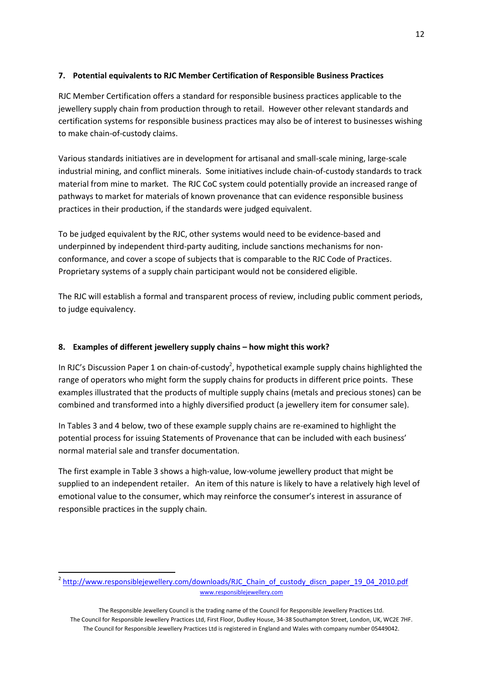# **7. Potential equivalents to RJC Member Certification of Responsible Business Practices**

RJC Member Certification offers a standard for responsible business practices applicable to the jewellery supply chain from production through to retail. However other relevant standards and certification systems for responsible business practices may also be of interest to businesses wishing to make chain-of-custody claims.

Various standards initiatives are in development for artisanal and small-scale mining, large-scale industrial mining, and conflict minerals. Some initiatives include chain-of-custody standards to track material from mine to market. The RJC CoC system could potentially provide an increased range of pathways to market for materials of known provenance that can evidence responsible business practices in their production, if the standards were judged equivalent.

To be judged equivalent by the RJC, other systems would need to be evidence-based and underpinned by independent third-party auditing, include sanctions mechanisms for nonconformance, and cover a scope of subjects that is comparable to the RJC Code of Practices. Proprietary systems of a supply chain participant would not be considered eligible.

The RJC will establish a formal and transparent process of review, including public comment periods, to judge equivalency.

# **8. Examples of different jewellery supply chains – how might this work?**

In RJC's Discussion Paper 1 on chain-of-custody<sup>2</sup>, hypothetical example supply chains highlighted the range of operators who might form the supply chains for products in different price points. These examples illustrated that the products of multiple supply chains (metals and precious stones) can be combined and transformed into a highly diversified product (a jewellery item for consumer sale).

In Tables 3 and 4 below, two of these example supply chains are re-examined to highlight the potential process for issuing Statements of Provenance that can be included with each business' normal material sale and transfer documentation.

The first example in Table 3 shows a high-value, low-volume jewellery product that might be supplied to an independent retailer. An item of this nature is likely to have a relatively high level of emotional value to the consumer, which may reinforce the consumer's interest in assurance of responsible practices in the supply chain.

**.** 

www.responsiblejewellery.com <sup>2</sup> http://www.responsiblejewellery.com/downloads/RJC Chain of custody discn paper 19 04 2010.pdf

The Responsible Jewellery Council is the trading name of the Council for Responsible Jewellery Practices Ltd. The Council for Responsible Jewellery Practices Ltd, First Floor, Dudley House, 34-38 Southampton Street, London, UK, WC2E 7HF. The Council for Responsible Jewellery Practices Ltd is registered in England and Wales with company number 05449042.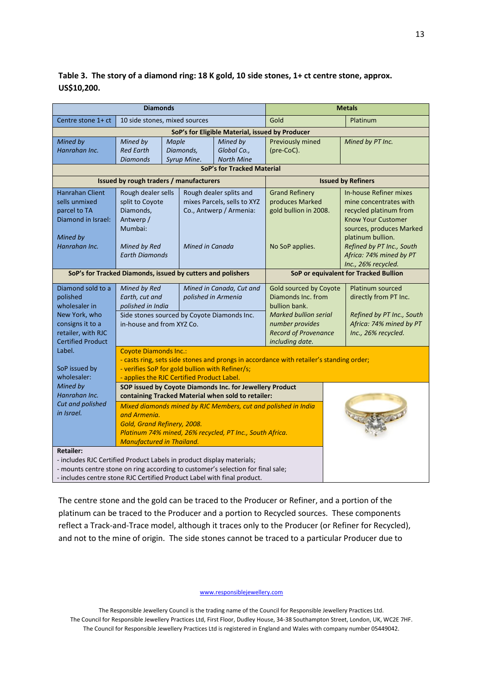# **Table 3. The story of a diamond ring: 18 K gold, 10 side stones, 1+ ct centre stone, approx. US\$10,200.**

| <b>Diamonds</b>                                                                    |                                                                                                                                            |                                             |                             | <b>Metals</b>                         |                                                |  |  |
|------------------------------------------------------------------------------------|--------------------------------------------------------------------------------------------------------------------------------------------|---------------------------------------------|-----------------------------|---------------------------------------|------------------------------------------------|--|--|
| Centre stone 1+ ct                                                                 | 10 side stones, mixed sources                                                                                                              |                                             |                             | Gold                                  | Platinum                                       |  |  |
|                                                                                    | SoP's for Eligible Material, issued by Producer                                                                                            |                                             |                             |                                       |                                                |  |  |
| Mined by                                                                           | Mined by                                                                                                                                   | Maple                                       | Mined by                    | Previously mined                      | Mined by PT Inc.                               |  |  |
| Hanrahan Inc.                                                                      | <b>Red Earth</b>                                                                                                                           | Diamonds,                                   | Global Co.,                 | (pre-CoC).                            |                                                |  |  |
|                                                                                    | <b>Diamonds</b>                                                                                                                            | Syrup Mine.                                 | <b>North Mine</b>           |                                       |                                                |  |  |
|                                                                                    | SoP's for Tracked Material                                                                                                                 |                                             |                             |                                       |                                                |  |  |
|                                                                                    |                                                                                                                                            | Issued by rough traders / manufacturers     |                             |                                       | <b>Issued by Refiners</b>                      |  |  |
| <b>Hanrahan Client</b>                                                             | Rough dealer sells                                                                                                                         |                                             | Rough dealer splits and     | <b>Grand Refinery</b>                 | In-house Refiner mixes                         |  |  |
| sells unmixed                                                                      | split to Coyote                                                                                                                            |                                             | mixes Parcels, sells to XYZ | produces Marked                       | mine concentrates with                         |  |  |
| parcel to TA                                                                       | Diamonds,                                                                                                                                  |                                             | Co., Antwerp / Armenia:     | gold bullion in 2008.                 | recycled platinum from                         |  |  |
| Diamond in Israel:                                                                 | Antwerp /<br>Mumbai:                                                                                                                       |                                             |                             |                                       | Know Your Customer<br>sources, produces Marked |  |  |
| Mined by                                                                           |                                                                                                                                            |                                             |                             |                                       | platinum bullion.                              |  |  |
| Hanrahan Inc.                                                                      | Mined by Red                                                                                                                               | Mined in Canada                             |                             | No SoP applies.                       | Refined by PT Inc., South                      |  |  |
|                                                                                    | <b>Earth Diamonds</b>                                                                                                                      |                                             |                             |                                       | Africa: 74% mined by PT                        |  |  |
|                                                                                    |                                                                                                                                            |                                             |                             |                                       | Inc., 26% recycled.                            |  |  |
| SoP's for Tracked Diamonds, issued by cutters and polishers                        |                                                                                                                                            |                                             |                             | SoP or equivalent for Tracked Bullion |                                                |  |  |
| Diamond sold to a                                                                  | Mined by Red                                                                                                                               |                                             | Mined in Canada, Cut and    | Gold sourced by Coyote                | <b>Platinum sourced</b>                        |  |  |
| polished                                                                           | Earth, cut and                                                                                                                             |                                             | polished in Armenia         | Diamonds Inc. from                    | directly from PT Inc.                          |  |  |
| wholesaler in                                                                      | polished in India                                                                                                                          |                                             |                             | bullion bank.                         |                                                |  |  |
| New York, who                                                                      |                                                                                                                                            | Side stones sourced by Coyote Diamonds Inc. |                             | <b>Marked bullion serial</b>          | Refined by PT Inc., South                      |  |  |
| consigns it to a                                                                   | in-house and from XYZ Co.                                                                                                                  |                                             |                             | number provides                       | Africa: 74% mined by PT                        |  |  |
| retailer, with RJC<br><b>Certified Product</b>                                     |                                                                                                                                            |                                             |                             | <b>Record of Provenance</b>           | Inc., 26% recycled.                            |  |  |
| Label.                                                                             | including date.<br><b>Coyote Diamonds Inc.:</b>                                                                                            |                                             |                             |                                       |                                                |  |  |
|                                                                                    |                                                                                                                                            |                                             |                             |                                       |                                                |  |  |
| SoP issued by                                                                      | - casts ring, sets side stones and prongs in accordance with retailer's standing order;<br>- verifies SoP for gold bullion with Refiner/s; |                                             |                             |                                       |                                                |  |  |
| wholesaler:                                                                        | - applies the RJC Certified Product Label.                                                                                                 |                                             |                             |                                       |                                                |  |  |
| Mined by                                                                           | SOP issued by Coyote Diamonds Inc. for Jewellery Product                                                                                   |                                             |                             |                                       |                                                |  |  |
| Hanrahan Inc.                                                                      | containing Tracked Material when sold to retailer:                                                                                         |                                             |                             |                                       |                                                |  |  |
| Cut and polished                                                                   | Mixed diamonds mined by RJC Members, cut and polished in India                                                                             |                                             |                             |                                       |                                                |  |  |
| in Israel.                                                                         | and Armenia.                                                                                                                               |                                             |                             |                                       |                                                |  |  |
|                                                                                    | Gold, Grand Refinery, 2008.                                                                                                                |                                             |                             |                                       |                                                |  |  |
|                                                                                    | Platinum 74% mined, 26% recycled, PT Inc., South Africa.                                                                                   |                                             |                             |                                       |                                                |  |  |
|                                                                                    | <b>Manufactured in Thailand.</b>                                                                                                           |                                             |                             |                                       |                                                |  |  |
| Retailer:<br>- includes RJC Certified Product Labels in product display materials; |                                                                                                                                            |                                             |                             |                                       |                                                |  |  |
| - mounts centre stone on ring according to customer's selection for final sale;    |                                                                                                                                            |                                             |                             |                                       |                                                |  |  |
| - includes centre stone RJC Certified Product Label with final product.            |                                                                                                                                            |                                             |                             |                                       |                                                |  |  |
|                                                                                    |                                                                                                                                            |                                             |                             |                                       |                                                |  |  |

The centre stone and the gold can be traced to the Producer or Refiner, and a portion of the platinum can be traced to the Producer and a portion to Recycled sources. These components reflect a Track-and-Trace model, although it traces only to the Producer (or Refiner for Recycled), and not to the mine of origin. The side stones cannot be traced to a particular Producer due to

www.responsiblejewellery.com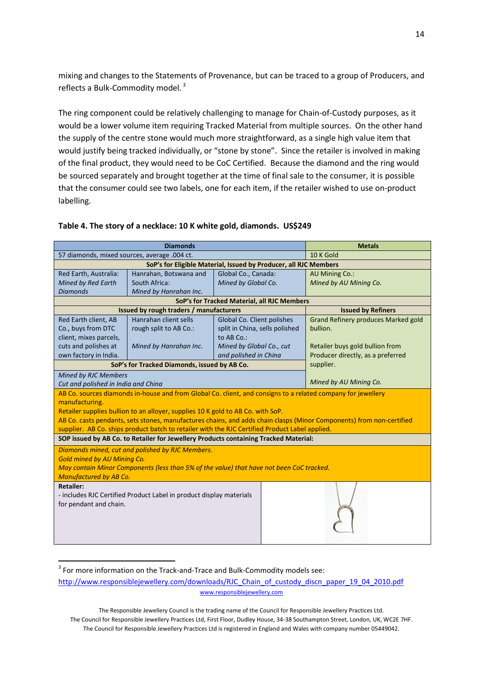mixing and changes to the Statements of Provenance, but can be traced to a group of Producers, and reflects a Bulk-Commodity model.<sup>3</sup>

The ring component could be relatively challenging to manage for Chain-of-Custody purposes, as it would be a lower volume item requiring Tracked Material from multiple sources. On the other hand the supply of the centre stone would much more straightforward, as a single high value item that would justify being tracked individually, or "stone by stone". Since the retailer is involved in making of the final product, they would need to be CoC Certified. Because the diamond and the ring would be sourced separately and brought together at the time of final sale to the consumer, it is possible that the consumer could see two labels, one for each item, if the retailer wished to use on-product labelling.

| <b>Diamonds</b>                                                                                |                                                                                                              |                                | <b>Metals</b> |                                                                                                                      |  |
|------------------------------------------------------------------------------------------------|--------------------------------------------------------------------------------------------------------------|--------------------------------|---------------|----------------------------------------------------------------------------------------------------------------------|--|
| 57 diamonds, mixed sources, average .004 ct.                                                   |                                                                                                              |                                | 10 K Gold     |                                                                                                                      |  |
|                                                                                                | SoP's for Eligible Material, Issued by Producer, all RJC Members                                             |                                |               |                                                                                                                      |  |
| Red Earth, Australia:                                                                          | Hanrahan, Botswana and                                                                                       | Global Co., Canada:            |               | <b>AU Mining Co.:</b>                                                                                                |  |
| <b>Mined by Red Earth</b>                                                                      | South Africa:                                                                                                | Mined by Global Co.            |               | Mined by AU Mining Co.                                                                                               |  |
| <b>Diamonds</b>                                                                                | Mined by Hanrahan Inc.                                                                                       |                                |               |                                                                                                                      |  |
| SoP's for Tracked Material, all RJC Members                                                    |                                                                                                              |                                |               |                                                                                                                      |  |
|                                                                                                | Issued by rough traders / manufacturers                                                                      |                                |               | <b>Issued by Refiners</b>                                                                                            |  |
| Red Earth client, AB                                                                           | Hanrahan client sells                                                                                        | Global Co. Client polishes     |               | <b>Grand Refinery produces Marked gold</b>                                                                           |  |
| Co., buys from DTC                                                                             | rough split to AB Co.:                                                                                       | split in China, sells polished |               | bullion.                                                                                                             |  |
| client, mixes parcels,                                                                         |                                                                                                              | to AB Co.:                     |               |                                                                                                                      |  |
| cuts and polishes at                                                                           | Mined by Hanrahan Inc.                                                                                       | Mined by Global Co., cut       |               | Retailer buys gold bullion from                                                                                      |  |
| own factory in India.                                                                          |                                                                                                              | and polished in China          |               | Producer directly, as a preferred                                                                                    |  |
| SoP's for Tracked Diamonds, issued by AB Co.                                                   |                                                                                                              |                                |               | supplier.                                                                                                            |  |
| <b>Mined by RJC Members</b>                                                                    |                                                                                                              |                                |               |                                                                                                                      |  |
| Cut and polished in India and China                                                            |                                                                                                              |                                |               | Mined by AU Mining Co.                                                                                               |  |
|                                                                                                | AB Co. sources diamonds in-house and from Global Co. client, and consigns to a related company for jewellery |                                |               |                                                                                                                      |  |
| manufacturing.                                                                                 |                                                                                                              |                                |               |                                                                                                                      |  |
|                                                                                                | Retailer supplies bullion to an alloyer, supplies 10 K gold to AB Co. with SoP.                              |                                |               |                                                                                                                      |  |
|                                                                                                |                                                                                                              |                                |               | AB Co. casts pendants, sets stones, manufactures chains, and adds chain clasps (Minor Components) from non-certified |  |
| supplier. AB Co. ships product batch to retailer with the RJC Certified Product Label applied. |                                                                                                              |                                |               |                                                                                                                      |  |
| SOP issued by AB Co. to Retailer for Jewellery Products containing Tracked Material:           |                                                                                                              |                                |               |                                                                                                                      |  |
|                                                                                                | Diamonds mined, cut and polished by RJC Members.                                                             |                                |               |                                                                                                                      |  |
| <b>Gold mined by AU Mining Co.</b>                                                             |                                                                                                              |                                |               |                                                                                                                      |  |
|                                                                                                | May contain Minor Components (less than 5% of the value) that have not been CoC tracked.                     |                                |               |                                                                                                                      |  |
| <b>Manufactured by AB Co.</b>                                                                  |                                                                                                              |                                |               |                                                                                                                      |  |
| <b>Retailer:</b>                                                                               |                                                                                                              |                                |               |                                                                                                                      |  |
| - includes RJC Certified Product Label in product display materials                            |                                                                                                              |                                |               |                                                                                                                      |  |
| for pendant and chain.                                                                         |                                                                                                              |                                |               |                                                                                                                      |  |
|                                                                                                |                                                                                                              |                                |               |                                                                                                                      |  |
|                                                                                                |                                                                                                              |                                |               |                                                                                                                      |  |
|                                                                                                |                                                                                                              |                                |               |                                                                                                                      |  |
|                                                                                                |                                                                                                              |                                |               |                                                                                                                      |  |

### **Table 4. The story of a necklace: 10 K white gold, diamonds. US\$249**

 $\overline{\phantom{a}}$ 

 $3$  For more information on the Track-and-Trace and Bulk-Commodity models see:

www.responsiblejewellery.com [http://www.responsiblejewellery.com/downloads/RJC\\_Chain\\_of\\_custody\\_discn\\_paper\\_19\\_04\\_2010.pdf](http://www.responsiblejewellery.com/downloads/RJC_Chain_of_custody_discn_paper_19_04_2010.pdf)

The Responsible Jewellery Council is the trading name of the Council for Responsible Jewellery Practices Ltd. The Council for Responsible Jewellery Practices Ltd, First Floor, Dudley House, 34-38 Southampton Street, London, UK, WC2E 7HF. The Council for Responsible Jewellery Practices Ltd is registered in England and Wales with company number 05449042.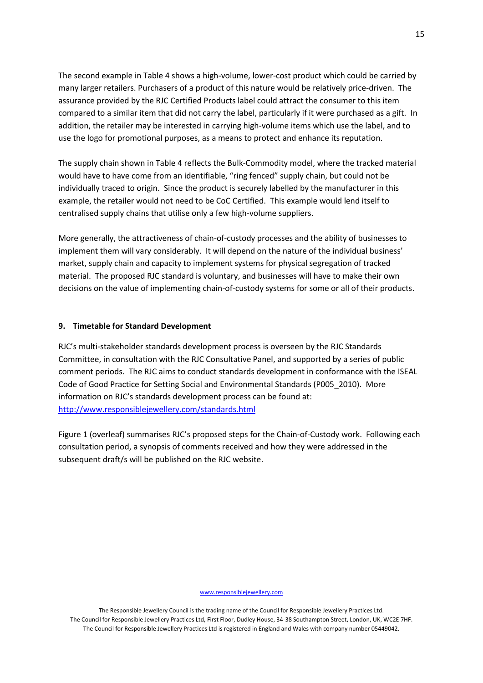The second example in Table 4 shows a high-volume, lower-cost product which could be carried by many larger retailers. Purchasers of a product of this nature would be relatively price-driven. The assurance provided by the RJC Certified Products label could attract the consumer to this item compared to a similar item that did not carry the label, particularly if it were purchased as a gift. In addition, the retailer may be interested in carrying high-volume items which use the label, and to use the logo for promotional purposes, as a means to protect and enhance its reputation.

The supply chain shown in Table 4 reflects the Bulk-Commodity model, where the tracked material would have to have come from an identifiable, "ring fenced" supply chain, but could not be individually traced to origin. Since the product is securely labelled by the manufacturer in this example, the retailer would not need to be CoC Certified. This example would lend itself to centralised supply chains that utilise only a few high-volume suppliers.

More generally, the attractiveness of chain-of-custody processes and the ability of businesses to implement them will vary considerably. It will depend on the nature of the individual business' market, supply chain and capacity to implement systems for physical segregation of tracked material. The proposed RJC standard is voluntary, and businesses will have to make their own decisions on the value of implementing chain-of-custody systems for some or all of their products.

### **9. Timetable for Standard Development**

RJC's multi-stakeholder standards development process is overseen by the RJC Standards Committee, in consultation with the RJC Consultative Panel, and supported by a series of public comment periods. The RJC aims to conduct standards development in conformance with the ISEAL Code of Good Practice for Setting Social and Environmental Standards (P005\_2010). More information on RJC's standards development process can be found at: <http://www.responsiblejewellery.com/standards.html>

Figure 1 (overleaf) summarises RJC's proposed steps for the Chain-of-Custody work. Following each consultation period, a synopsis of comments received and how they were addressed in the subsequent draft/s will be published on the RJC website.

#### www.responsiblejewellery.com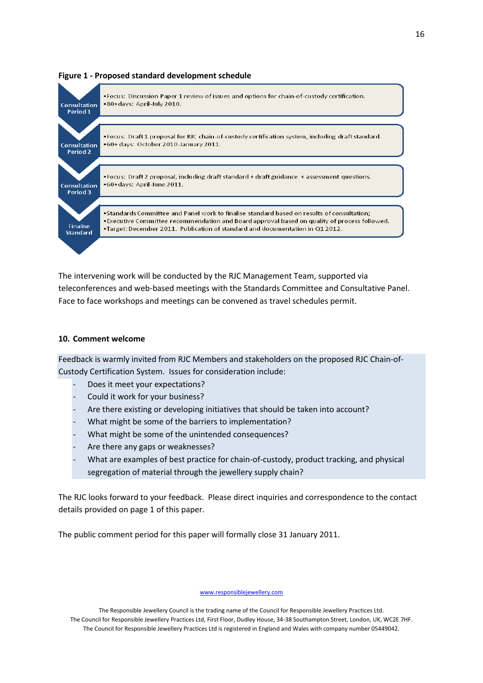

### **Figure 1 - Proposed standard development schedule**

The intervening work will be conducted by the RJC Management Team, supported via teleconferences and web-based meetings with the Standards Committee and Consultative Panel. Face to face workshops and meetings can be convened as travel schedules permit.

### **10. Comment welcome**

Feedback is warmly invited from RJC Members and stakeholders on the proposed RJC Chain-of-Custody Certification System. Issues for consideration include:

- Does it meet your expectations?
- Could it work for your business?
- Are there existing or developing initiatives that should be taken into account?
- What might be some of the barriers to implementation?
- What might be some of the unintended consequences?
- Are there any gaps or weaknesses?
- What are examples of best practice for chain-of-custody, product tracking, and physical segregation of material through the jewellery supply chain?

The RJC looks forward to your feedback. Please direct inquiries and correspondence to the contact details provided on page 1 of this paper.

The public comment period for this paper will formally close 31 January 2011.

#### www.responsiblejewellery.com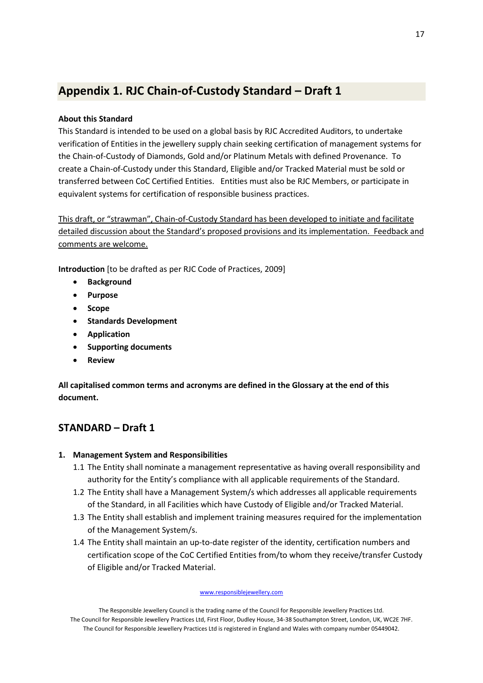# **Appendix 1. RJC Chain-of-Custody Standard – Draft 1**

# **About this Standard**

This Standard is intended to be used on a global basis by RJC Accredited Auditors, to undertake verification of Entities in the jewellery supply chain seeking certification of management systems for the Chain-of-Custody of Diamonds, Gold and/or Platinum Metals with defined Provenance. To create a Chain-of-Custody under this Standard, Eligible and/or Tracked Material must be sold or transferred between CoC Certified Entities. Entities must also be RJC Members, or participate in equivalent systems for certification of responsible business practices.

This draft, or "strawman", Chain-of-Custody Standard has been developed to initiate and facilitate detailed discussion about the Standard's proposed provisions and its implementation. Feedback and comments are welcome.

**Introduction** [to be drafted as per RJC Code of Practices, 2009]

- **Background**
- **Purpose**
- **Scope**
- **•** Standards Development
- **Application**
- **•** Supporting documents
- **Review**

**All capitalised common terms and acronyms are defined in the Glossary at the end of this document.**

# **STANDARD – Draft 1**

# **1. Management System and Responsibilities**

- 1.1 The Entity shall nominate a management representative as having overall responsibility and authority for the Entity's compliance with all applicable requirements of the Standard.
- 1.2 The Entity shall have a Management System/s which addresses all applicable requirements of the Standard, in all Facilities which have Custody of Eligible and/or Tracked Material.
- 1.3 The Entity shall establish and implement training measures required for the implementation of the Management System/s.
- 1.4 The Entity shall maintain an up-to-date register of the identity, certification numbers and certification scope of the CoC Certified Entities from/to whom they receive/transfer Custody of Eligible and/or Tracked Material.

### www.responsiblejewellery.com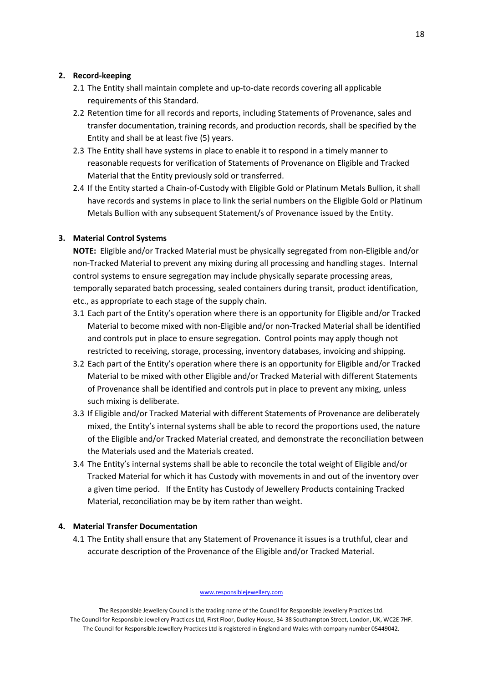### **2. Record-keeping**

- 2.1 The Entity shall maintain complete and up-to-date records covering all applicable requirements of this Standard.
- 2.2 Retention time for all records and reports, including Statements of Provenance, sales and transfer documentation, training records, and production records, shall be specified by the Entity and shall be at least five (5) years.
- 2.3 The Entity shall have systems in place to enable it to respond in a timely manner to reasonable requests for verification of Statements of Provenance on Eligible and Tracked Material that the Entity previously sold or transferred.
- 2.4 If the Entity started a Chain-of-Custody with Eligible Gold or Platinum Metals Bullion, it shall have records and systems in place to link the serial numbers on the Eligible Gold or Platinum Metals Bullion with any subsequent Statement/s of Provenance issued by the Entity.

### **3. Material Control Systems**

**NOTE:** Eligible and/or Tracked Material must be physically segregated from non-Eligible and/or non-Tracked Material to prevent any mixing during all processing and handling stages. Internal control systems to ensure segregation may include physically separate processing areas, temporally separated batch processing, sealed containers during transit, product identification, etc., as appropriate to each stage of the supply chain.

- 3.1 Each part of the Entity's operation where there is an opportunity for Eligible and/or Tracked Material to become mixed with non-Eligible and/or non-Tracked Material shall be identified and controls put in place to ensure segregation. Control points may apply though not restricted to receiving, storage, processing, inventory databases, invoicing and shipping.
- 3.2 Each part of the Entity's operation where there is an opportunity for Eligible and/or Tracked Material to be mixed with other Eligible and/or Tracked Material with different Statements of Provenance shall be identified and controls put in place to prevent any mixing, unless such mixing is deliberate.
- 3.3 If Eligible and/or Tracked Material with different Statements of Provenance are deliberately mixed, the Entity's internal systems shall be able to record the proportions used, the nature of the Eligible and/or Tracked Material created, and demonstrate the reconciliation between the Materials used and the Materials created.
- 3.4 The Entity's internal systems shall be able to reconcile the total weight of Eligible and/or Tracked Material for which it has Custody with movements in and out of the inventory over a given time period. If the Entity has Custody of Jewellery Products containing Tracked Material, reconciliation may be by item rather than weight.

### **4. Material Transfer Documentation**

4.1 The Entity shall ensure that any Statement of Provenance it issues is a truthful, clear and accurate description of the Provenance of the Eligible and/or Tracked Material.

www.responsiblejewellery.com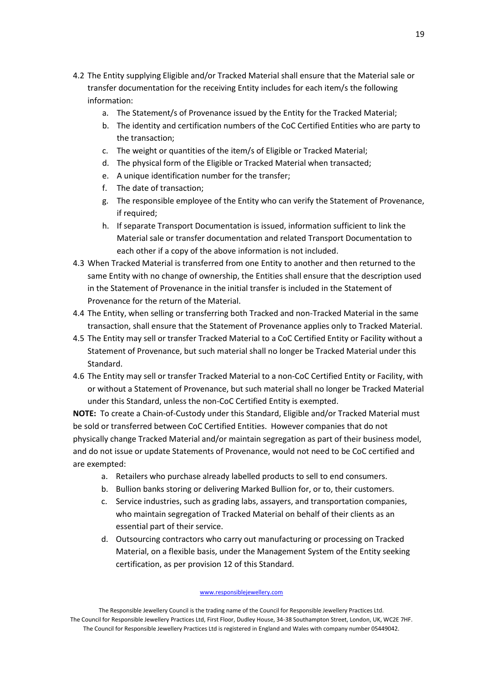- 4.2 The Entity supplying Eligible and/or Tracked Material shall ensure that the Material sale or transfer documentation for the receiving Entity includes for each item/s the following information:
	- a. The Statement/s of Provenance issued by the Entity for the Tracked Material;
	- b. The identity and certification numbers of the CoC Certified Entities who are party to the transaction;
	- c. The weight or quantities of the item/s of Eligible or Tracked Material;
	- d. The physical form of the Eligible or Tracked Material when transacted;
	- e. A unique identification number for the transfer;
	- f. The date of transaction;
	- g. The responsible employee of the Entity who can verify the Statement of Provenance, if required;
	- h. If separate Transport Documentation is issued, information sufficient to link the Material sale or transfer documentation and related Transport Documentation to each other if a copy of the above information is not included.
- 4.3 When Tracked Material is transferred from one Entity to another and then returned to the same Entity with no change of ownership, the Entities shall ensure that the description used in the Statement of Provenance in the initial transfer is included in the Statement of Provenance for the return of the Material.
- 4.4 The Entity, when selling or transferring both Tracked and non-Tracked Material in the same transaction, shall ensure that the Statement of Provenance applies only to Tracked Material.
- 4.5 The Entity may sell or transfer Tracked Material to a CoC Certified Entity or Facility without a Statement of Provenance, but such material shall no longer be Tracked Material under this Standard.
- 4.6 The Entity may sell or transfer Tracked Material to a non-CoC Certified Entity or Facility, with or without a Statement of Provenance, but such material shall no longer be Tracked Material under this Standard, unless the non-CoC Certified Entity is exempted.

**NOTE:** To create a Chain-of-Custody under this Standard, Eligible and/or Tracked Material must be sold or transferred between CoC Certified Entities.However companies that do not physically change Tracked Material and/or maintain segregation as part of their business model, and do not issue or update Statements of Provenance, would not need to be CoC certified and are exempted:

- a. Retailers who purchase already labelled products to sell to end consumers.
- b. Bullion banks storing or delivering Marked Bullion for, or to, their customers.
- c. Service industries, such as grading labs, assayers, and transportation companies, who maintain segregation of Tracked Material on behalf of their clients as an essential part of their service.
- d. Outsourcing contractors who carry out manufacturing or processing on Tracked Material, on a flexible basis, under the Management System of the Entity seeking certification, as per provision 12 of this Standard.

www.responsiblejewellery.com

The Responsible Jewellery Council is the trading name of the Council for Responsible Jewellery Practices Ltd. The Council for Responsible Jewellery Practices Ltd, First Floor, Dudley House, 34-38 Southampton Street, London, UK, WC2E 7HF. The Council for Responsible Jewellery Practices Ltd is registered in England and Wales with company number 05449042.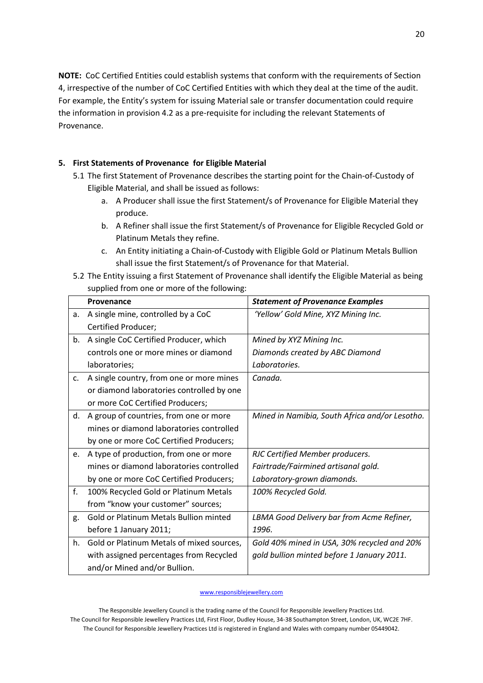**NOTE:** CoC Certified Entities could establish systems that conform with the requirements of Section 4, irrespective of the number of CoC Certified Entities with which they deal at the time of the audit. For example, the Entity's system for issuing Material sale or transfer documentation could require the information in provision 4.2 as a pre-requisite for including the relevant Statements of Provenance.

# **5. First Statements of Provenance for Eligible Material**

- 5.1 The first Statement of Provenance describes the starting point for the Chain-of-Custody of Eligible Material, and shall be issued as follows:
	- a. A Producer shall issue the first Statement/s of Provenance for Eligible Material they produce.
	- b. A Refiner shall issue the first Statement/s of Provenance for Eligible Recycled Gold or Platinum Metals they refine.
	- c. An Entity initiating a Chain-of-Custody with Eligible Gold or Platinum Metals Bullion shall issue the first Statement/s of Provenance for that Material.
- 5.2 The Entity issuing a first Statement of Provenance shall identify the Eligible Material as being supplied from one or more of the following:

|    | Provenance                                    | <b>Statement of Provenance Examples</b>        |
|----|-----------------------------------------------|------------------------------------------------|
| а. | A single mine, controlled by a CoC            | 'Yellow' Gold Mine, XYZ Mining Inc.            |
|    | Certified Producer;                           |                                                |
| b. | A single CoC Certified Producer, which        | Mined by XYZ Mining Inc.                       |
|    | controls one or more mines or diamond         | Diamonds created by ABC Diamond                |
|    | laboratories;                                 | Laboratories.                                  |
| c. | A single country, from one or more mines      | Canada.                                        |
|    | or diamond laboratories controlled by one     |                                                |
|    | or more CoC Certified Producers;              |                                                |
| d. | A group of countries, from one or more        | Mined in Namibia, South Africa and/or Lesotho. |
|    | mines or diamond laboratories controlled      |                                                |
|    | by one or more CoC Certified Producers;       |                                                |
| e. | A type of production, from one or more        | RJC Certified Member producers.                |
|    | mines or diamond laboratories controlled      | Fairtrade/Fairmined artisanal gold.            |
|    | by one or more CoC Certified Producers;       | Laboratory-grown diamonds.                     |
| f. | 100% Recycled Gold or Platinum Metals         | 100% Recycled Gold.                            |
|    | from "know your customer" sources;            |                                                |
| g. | <b>Gold or Platinum Metals Bullion minted</b> | LBMA Good Delivery bar from Acme Refiner,      |
|    | before 1 January 2011;                        | 1996.                                          |
| h. | Gold or Platinum Metals of mixed sources,     | Gold 40% mined in USA, 30% recycled and 20%    |
|    | with assigned percentages from Recycled       | gold bullion minted before 1 January 2011.     |
|    | and/or Mined and/or Bullion.                  |                                                |

### www.responsiblejewellery.com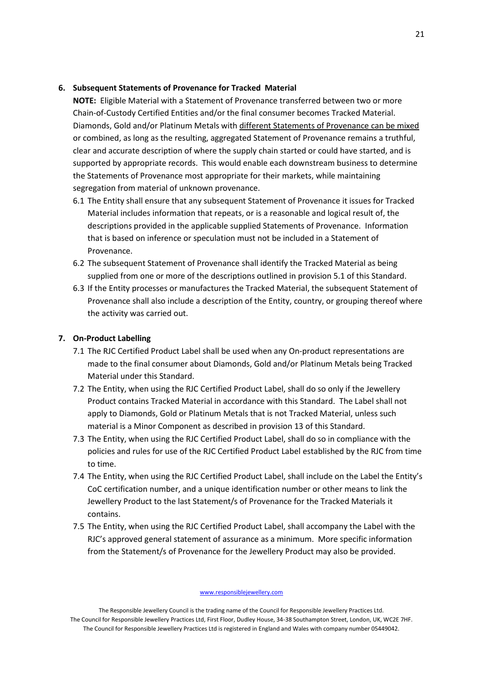### **6. Subsequent Statements of Provenance for Tracked Material**

**NOTE:** Eligible Material with a Statement of Provenance transferred between two or more Chain-of-Custody Certified Entities and/or the final consumer becomes Tracked Material. Diamonds, Gold and/or Platinum Metals with different Statements of Provenance can be mixed or combined, as long as the resulting, aggregated Statement of Provenance remains a truthful, clear and accurate description of where the supply chain started or could have started, and is supported by appropriate records. This would enable each downstream business to determine the Statements of Provenance most appropriate for their markets, while maintaining segregation from material of unknown provenance.

- 6.1 The Entity shall ensure that any subsequent Statement of Provenance it issues for Tracked Material includes information that repeats, or is a reasonable and logical result of, the descriptions provided in the applicable supplied Statements of Provenance. Information that is based on inference or speculation must not be included in a Statement of Provenance.
- 6.2 The subsequent Statement of Provenance shall identify the Tracked Material as being supplied from one or more of the descriptions outlined in provision 5.1 of this Standard.
- 6.3 If the Entity processes or manufactures the Tracked Material, the subsequent Statement of Provenance shall also include a description of the Entity, country, or grouping thereof where the activity was carried out.

### **7. On-Product Labelling**

- 7.1 The RJC Certified Product Label shall be used when any On-product representations are made to the final consumer about Diamonds, Gold and/or Platinum Metals being Tracked Material under this Standard.
- 7.2 The Entity, when using the RJC Certified Product Label, shall do so only if the Jewellery Product contains Tracked Material in accordance with this Standard. The Label shall not apply to Diamonds, Gold or Platinum Metals that is not Tracked Material, unless such material is a Minor Component as described in provision 13 of this Standard.
- 7.3 The Entity, when using the RJC Certified Product Label, shall do so in compliance with the policies and rules for use of the RJC Certified Product Label established by the RJC from time to time.
- 7.4 The Entity, when using the RJC Certified Product Label, shall include on the Label the Entity's CoC certification number, and a unique identification number or other means to link the Jewellery Product to the last Statement/s of Provenance for the Tracked Materials it contains.
- 7.5 The Entity, when using the RJC Certified Product Label, shall accompany the Label with the RJC's approved general statement of assurance as a minimum. More specific information from the Statement/s of Provenance for the Jewellery Product may also be provided.

www.responsiblejewellery.com

The Responsible Jewellery Council is the trading name of the Council for Responsible Jewellery Practices Ltd. The Council for Responsible Jewellery Practices Ltd, First Floor, Dudley House, 34-38 Southampton Street, London, UK, WC2E 7HF. The Council for Responsible Jewellery Practices Ltd is registered in England and Wales with company number 05449042.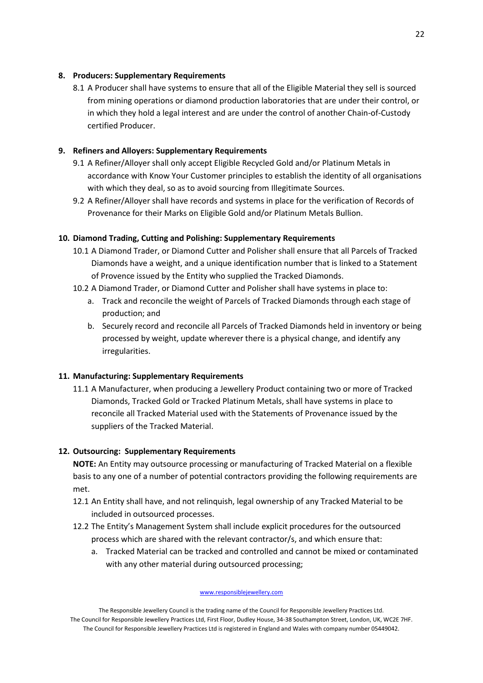# **8. Producers: Supplementary Requirements**

8.1 A Producer shall have systems to ensure that all of the Eligible Material they sell is sourced from mining operations or diamond production laboratories that are under their control, or in which they hold a legal interest and are under the control of another Chain-of-Custody certified Producer.

# **9. Refiners and Alloyers: Supplementary Requirements**

- 9.1 A Refiner/Alloyer shall only accept Eligible Recycled Gold and/or Platinum Metals in accordance with Know Your Customer principles to establish the identity of all organisations with which they deal, so as to avoid sourcing from Illegitimate Sources.
- 9.2 A Refiner/Alloyer shall have records and systems in place for the verification of Records of Provenance for their Marks on Eligible Gold and/or Platinum Metals Bullion.

# **10. Diamond Trading, Cutting and Polishing: Supplementary Requirements**

- 10.1 A Diamond Trader, or Diamond Cutter and Polisher shall ensure that all Parcels of Tracked Diamonds have a weight, and a unique identification number that is linked to a Statement of Provence issued by the Entity who supplied the Tracked Diamonds.
- 10.2 A Diamond Trader, or Diamond Cutter and Polisher shall have systems in place to:
	- a. Track and reconcile the weight of Parcels of Tracked Diamonds through each stage of production; and
	- b. Securely record and reconcile all Parcels of Tracked Diamonds held in inventory or being processed by weight, update wherever there is a physical change, and identify any irregularities.

# **11. Manufacturing: Supplementary Requirements**

11.1 A Manufacturer, when producing a Jewellery Product containing two or more of Tracked Diamonds, Tracked Gold or Tracked Platinum Metals, shall have systems in place to reconcile all Tracked Material used with the Statements of Provenance issued by the suppliers of the Tracked Material.

# **12. Outsourcing: Supplementary Requirements**

**NOTE:** An Entity may outsource processing or manufacturing of Tracked Material on a flexible basis to any one of a number of potential contractors providing the following requirements are met.

- 12.1 An Entity shall have, and not relinquish, legal ownership of any Tracked Material to be included in outsourced processes.
- 12.2 The Entity's Management System shall include explicit procedures for the outsourced process which are shared with the relevant contractor/s, and which ensure that:
	- a. Tracked Material can be tracked and controlled and cannot be mixed or contaminated with any other material during outsourced processing;

www.responsiblejewellery.com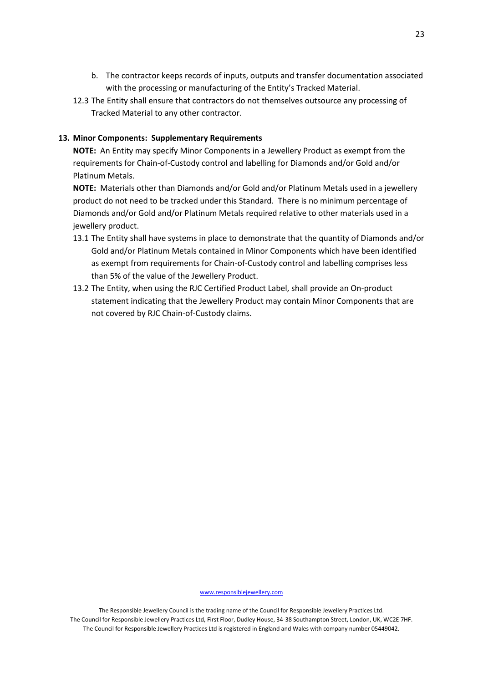- b. The contractor keeps records of inputs, outputs and transfer documentation associated with the processing or manufacturing of the Entity's Tracked Material.
- 12.3 The Entity shall ensure that contractors do not themselves outsource any processing of Tracked Material to any other contractor.

### **13. Minor Components: Supplementary Requirements**

**NOTE:** An Entity may specify Minor Components in a Jewellery Product as exempt from the requirements for Chain-of-Custody control and labelling for Diamonds and/or Gold and/or Platinum Metals.

**NOTE:** Materials other than Diamonds and/or Gold and/or Platinum Metals used in a jewellery product do not need to be tracked under this Standard. There is no minimum percentage of Diamonds and/or Gold and/or Platinum Metals required relative to other materials used in a jewellery product.

- 13.1 The Entity shall have systems in place to demonstrate that the quantity of Diamonds and/or Gold and/or Platinum Metals contained in Minor Components which have been identified as exempt from requirements for Chain-of-Custody control and labelling comprises less than 5% of the value of the Jewellery Product.
- 13.2 The Entity, when using the RJC Certified Product Label, shall provide an On-product statement indicating that the Jewellery Product may contain Minor Components that are not covered by RJC Chain-of-Custody claims.

www.responsiblejewellery.com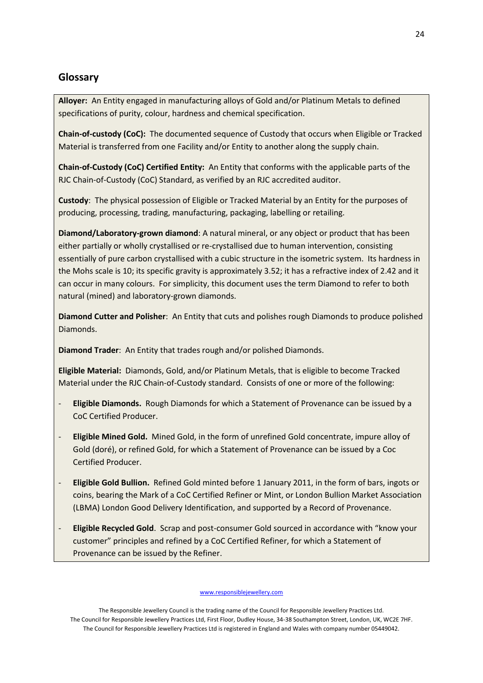# **Glossary**

**Alloyer:** An Entity engaged in manufacturing alloys of Gold and/or Platinum Metals to defined specifications of purity, colour, hardness and chemical specification.

**Chain-of-custody (CoC):** The documented sequence of Custody that occurs when Eligible or Tracked Material is transferred from one Facility and/or Entity to another along the supply chain.

**Chain-of-Custody (CoC) Certified Entity:** An Entity that conforms with the applicable parts of the RJC Chain-of-Custody (CoC) Standard, as verified by an RJC accredited auditor.

**Custody**: The physical possession of Eligible or Tracked Material by an Entity for the purposes of producing, processing, trading, manufacturing, packaging, labelling or retailing.

**Diamond/Laboratory-grown diamond**: A natural mineral, or any object or product that has been either partially or wholly crystallised or re-crystallised due to human intervention, consisting essentially of pure carbon crystallised with a cubic structure in the isometric system. Its hardness in the Mohs scale is 10; its specific gravity is approximately 3.52; it has a refractive index of 2.42 and it can occur in many colours. For simplicity, this document uses the term Diamond to refer to both natural (mined) and laboratory-grown diamonds.

**Diamond Cutter and Polisher**: An Entity that cuts and polishes rough Diamonds to produce polished Diamonds.

**Diamond Trader**: An Entity that trades rough and/or polished Diamonds.

**Eligible Material:** Diamonds, Gold, and/or Platinum Metals, that is eligible to become Tracked Material under the RJC Chain-of-Custody standard. Consists of one or more of the following:

- **Eligible Diamonds.** Rough Diamonds for which a Statement of Provenance can be issued by a CoC Certified Producer.
- **Eligible Mined Gold.** Mined Gold, in the form of unrefined Gold concentrate, impure alloy of Gold (doré), or refined Gold, for which a Statement of Provenance can be issued by a Coc Certified Producer.
- **Eligible Gold Bullion.** Refined Gold minted before 1 January 2011, in the form of bars, ingots or coins, bearing the Mark of a CoC Certified Refiner or Mint, or London Bullion Market Association (LBMA) London Good Delivery Identification, and supported by a Record of Provenance.
- **Eligible Recycled Gold**. Scrap and post-consumer Gold sourced in accordance with "know your customer" principles and refined by a CoC Certified Refiner, for which a Statement of Provenance can be issued by the Refiner.

www.responsiblejewellery.com

The Responsible Jewellery Council is the trading name of the Council for Responsible Jewellery Practices Ltd. The Council for Responsible Jewellery Practices Ltd, First Floor, Dudley House, 34-38 Southampton Street, London, UK, WC2E 7HF. The Council for Responsible Jewellery Practices Ltd is registered in England and Wales with company number 05449042.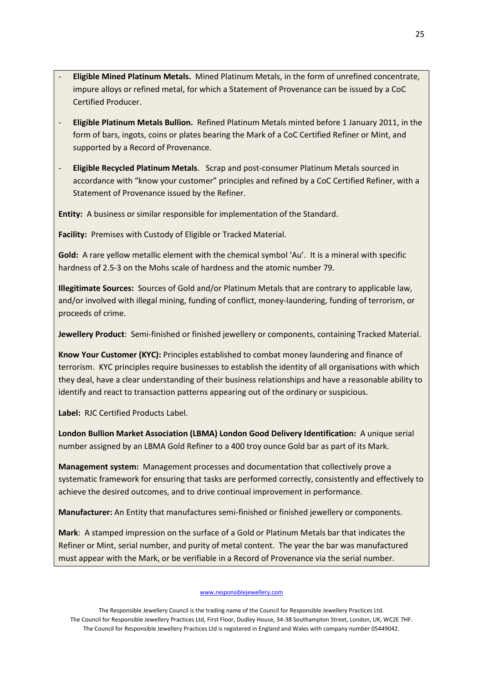- **Eligible Mined Platinum Metals.** Mined Platinum Metals, in the form of unrefined concentrate, impure alloys or refined metal, for which a Statement of Provenance can be issued by a CoC Certified Producer.
- **Eligible Platinum Metals Bullion.** Refined Platinum Metals minted before 1 January 2011, in the form of bars, ingots, coins or plates bearing the Mark of a CoC Certified Refiner or Mint, and supported by a Record of Provenance.
- **Eligible Recycled Platinum Metals**. Scrap and post-consumer Platinum Metals sourced in accordance with "know your customer" principles and refined by a CoC Certified Refiner, with a Statement of Provenance issued by the Refiner.

**Entity:** A business or similar responsible for implementation of the Standard.

**Facility:** Premises with Custody of Eligible or Tracked Material.

**Gold:** A rare yellow metallic element with the chemical symbol 'Au'. It is a mineral with specific hardness of 2.5-3 on the Mohs scale of hardness and the atomic number 79.

**Illegitimate Sources:** Sources of Gold and/or Platinum Metals that are contrary to applicable law, and/or involved with illegal mining, funding of conflict, money-laundering, funding of terrorism, or proceeds of crime.

**Jewellery Product**: Semi-finished or finished jewellery or components, containing Tracked Material.

**Know Your Customer (KYC):** Principles established to combat money laundering and finance of terrorism. KYC principles require businesses to establish the identity of all organisations with which they deal, have a clear understanding of their business relationships and have a reasonable ability to identify and react to transaction patterns appearing out of the ordinary or suspicious.

**Label:** RJC Certified Products Label.

**London Bullion Market Association (LBMA) London Good Delivery Identification:** A unique serial number assigned by an LBMA Gold Refiner to a 400 troy ounce Gold bar as part of its Mark.

**Management system:** Management processes and documentation that collectively prove a systematic framework for ensuring that tasks are performed correctly, consistently and effectively to achieve the desired outcomes, and to drive continual improvement in performance.

**Manufacturer:** An Entity that manufactures semi-finished or finished jewellery or components.

**Mark**: A stamped impression on the surface of a Gold or Platinum Metals bar that indicates the Refiner or Mint, serial number, and purity of metal content. The year the bar was manufactured must appear with the Mark, or be verifiable in a Record of Provenance via the serial number.

www.responsiblejewellery.com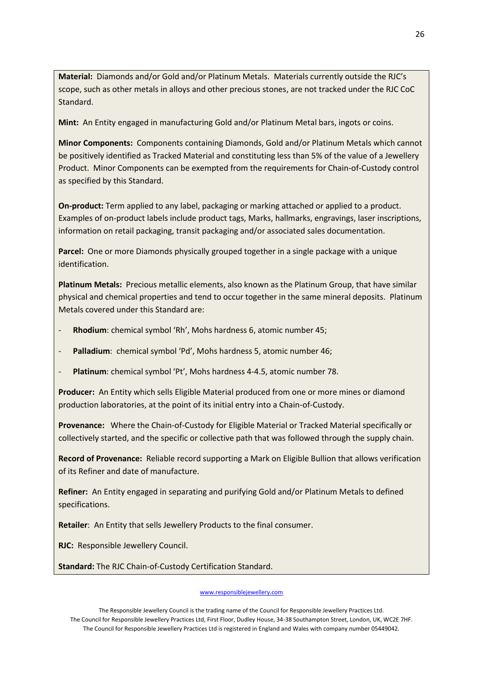**Material:** Diamonds and/or Gold and/or Platinum Metals. Materials currently outside the RJC's scope, such as other metals in alloys and other precious stones, are not tracked under the RJC CoC Standard.

**Mint:** An Entity engaged in manufacturing Gold and/or Platinum Metal bars, ingots or coins.

**Minor Components:** Components containing Diamonds, Gold and/or Platinum Metals which cannot be positively identified as Tracked Material and constituting less than 5% of the value of a Jewellery Product. Minor Components can be exempted from the requirements for Chain-of-Custody control as specified by this Standard.

**On-product:** Term applied to any label, packaging or marking attached or applied to a product. Examples of on-product labels include product tags, Marks, hallmarks, engravings, laser inscriptions, information on retail packaging, transit packaging and/or associated sales documentation.

**Parcel:** One or more Diamonds physically grouped together in a single package with a unique identification.

**Platinum Metals:** Precious metallic elements, also known as the Platinum Group, that have similar physical and chemical properties and tend to occur together in the same mineral deposits. Platinum Metals covered under this Standard are:

- Rhodium: chemical symbol 'Rh', Mohs hardness 6, atomic number 45;
- **Palladium**: chemical symbol 'Pd', Mohs hardness 5, atomic number 46;
- Platinum: chemical symbol 'Pt', Mohs hardness 4-4.5, atomic number 78.

**Producer:** An Entity which sells Eligible Material produced from one or more mines or diamond production laboratories, at the point of its initial entry into a Chain-of-Custody.

**Provenance:** Where the Chain-of-Custody for Eligible Material or Tracked Material specifically or collectively started, and the specific or collective path that was followed through the supply chain.

**Record of Provenance:** Reliable record supporting a Mark on Eligible Bullion that allows verification of its Refiner and date of manufacture.

**Refiner:** An Entity engaged in separating and purifying Gold and/or Platinum Metals to defined specifications.

**Retailer**: An Entity that sells Jewellery Products to the final consumer.

**RJC:** Responsible Jewellery Council.

**Standard:** The RJC Chain-of-Custody Certification Standard.

#### www.responsiblejewellery.com